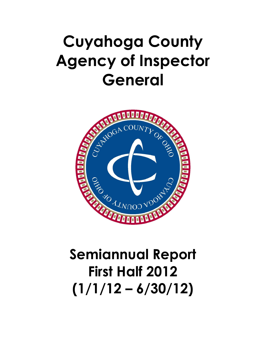## Cuyahoga County Agency of Inspector General



## First Half 2012  $(1/1/12 - 6/30/12)$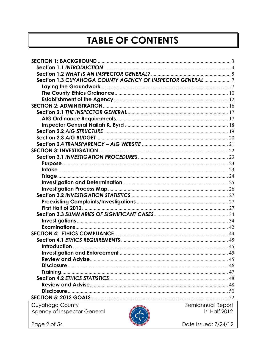## **TABLE OF CONTENTS**

| Section 1.3 CUYAHOGA COUNTY AGENCY OF INSPECTOR GENERAL 7 |                      |
|-----------------------------------------------------------|----------------------|
|                                                           |                      |
|                                                           |                      |
|                                                           |                      |
|                                                           |                      |
|                                                           |                      |
|                                                           |                      |
|                                                           |                      |
|                                                           |                      |
|                                                           |                      |
|                                                           |                      |
|                                                           |                      |
|                                                           |                      |
|                                                           |                      |
|                                                           |                      |
|                                                           |                      |
|                                                           |                      |
|                                                           |                      |
|                                                           |                      |
|                                                           |                      |
|                                                           |                      |
|                                                           |                      |
|                                                           |                      |
|                                                           |                      |
|                                                           |                      |
|                                                           |                      |
|                                                           |                      |
|                                                           |                      |
|                                                           |                      |
|                                                           |                      |
|                                                           |                      |
|                                                           |                      |
|                                                           |                      |
|                                                           |                      |
|                                                           |                      |
| Cuyahoga County                                           | Semiannual Report    |
| Agency of Inspector General                               | 1st Half 2012        |
|                                                           |                      |
| Page 2 of 54                                              | Date Issued: 7/24/12 |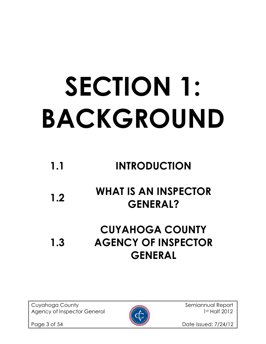# SECTION 1: BACKGROUND

## 1.1 INTRODUCTION

## 1.2 WHAT IS AN INSPECTOR GENERAL?

### 1.3 CUYAHOGA COUNTY AGENCY OF INSPECTOR GENERAL

Cuyahoga County **Semiannual Report** Semiannual Report Agency of Inspector General 1st Half 2012



Page 3 of 54 Date Issued: 7/24/12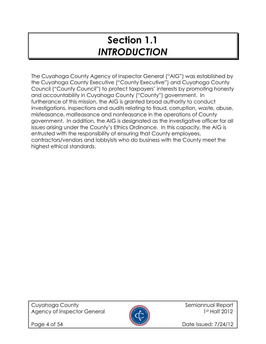## Section 1.1 INTRODUCTION

The Cuyahoga County Agency of Inspector General ("AIG") was established by the Cuyahoga County Executive ("County Executive") and Cuyahoga County Council ("County Council") to protect taxpayers' interests by promoting honesty and accountability in Cuyahoga County ("County") government. In furtherance of this mission, the AIG is granted broad authority to conduct investigations, inspections and audits relating to fraud, corruption, waste, abuse, misfeasance, malfeasance and nonfeasance in the operations of County government. In addition, the AIG is designated as the investigative officer for all issues arising under the County's Ethics Ordinance. In this capacity, the AIG is entrusted with the responsibility of ensuring that County employees, contractors/vendors and lobbyists who do business with the County meet the highest ethical standards.



Page 4 of 54 **Date Issued: 7/24/12**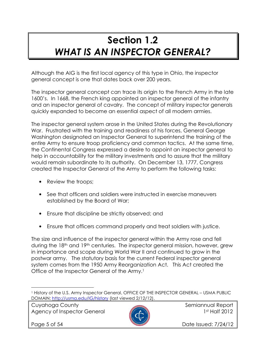## Section 1.2 WHAT IS AN INSPECTOR GENERAL?

Although the AIG is the first local agency of this type in Ohio, the inspector general concept is one that dates back over 200 years.

The inspector general concept can trace its origin to the French Army in the late 1600's. In 1668, the French king appointed an inspector general of the infantry and an inspector general of cavalry. The concept of military inspector generals quickly expanded to become an essential aspect of all modern armies.

The inspector general system arose in the United States during the Revolutionary War. Frustrated with the training and readiness of his forces, General George Washington designated an Inspector General to superintend the training of the entire Army to ensure troop proficiency and common tactics. At the same time, the Continental Congress expressed a desire to appoint an inspector general to help in accountability for the military investments and to assure that the military would remain subordinate to its authority. On December 13, 1777, Congress created the Inspector General of the Army to perform the following tasks:

- Review the troops;
- See that officers and soldiers were instructed in exercise maneuvers established by the Board of War;
- Ensure that discipline be strictly observed; and
- Ensure that officers command properly and treat soldiers with justice.

The size and influence of the inspector general within the Army rose and fell during the 18<sup>th</sup> and 19<sup>th</sup> centuries. The inspector general mission, however, grew in importance and scope during World War II and continued to grow in the postwar army. The statutory basis for the current Federal inspector general system comes from the 1950 Army Reorganization Act. This Act created the Office of the Inspector General of the Army.<sup>1</sup>

Cuyahoga County and Semiannual Report Agency of Inspector General **1st Half 2012** 



l.

Page 5 of 54 **Date Issued: 7/24/12** 

<sup>1</sup> History of the U.S. Army Inspector General, OFFICE OF THE INSPECTOR GENERAL – USMA PUBLIC DOMAIN; http://usma.edu/IG/history (last viewed 2/12/12).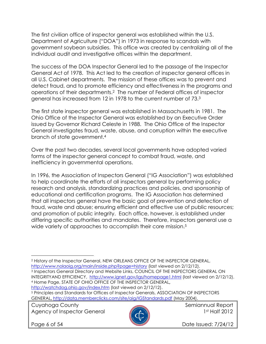The first civilian office of inspector general was established within the U.S. Department of Agriculture ("DOA") in 1973 in response to scandals with government soybean subsidies. This office was created by centralizing all of the individual audit and investigative offices within the department.

The success of the DOA Inspector General led to the passage of the Inspector General Act of 1978. This Act led to the creation of inspector general offices in all U.S. Cabinet departments. The mission of these offices was to prevent and detect fraud, and to promote efficiency and effectiveness in the programs and operations of their departments.2 The number of Federal offices of inspector general has increased from 12 in 1978 to the current number of 73.<sup>3</sup>

The first state inspector general was established in Massachusetts in 1981. The Ohio Office of the Inspector General was established by an Executive Order issued by Governor Richard Celeste in 1988. The Ohio Office of the Inspector General investigates fraud, waste, abuse, and corruption within the executive branch of state government.<sup>4</sup>

Over the past two decades, several local governments have adopted varied forms of the inspector general concept to combat fraud, waste, and inefficiency in governmental operations.

In 1996, the Association of Inspectors General ("IG Association") was established to help coordinate the efforts of all inspectors general by performing policy research and analysis, standardizing practices and policies, and sponsorship of educational and certification programs. The IG Association has determined that all inspectors general have the basic goal of prevention and detection of fraud, waste and abuse; ensuring efficient and effective use of public resources; and promotion of public integrity. Each office, however, is established under differing specific authorities and mandates. Therefore, inspectors general use a wide variety of approaches to accomplish their core mission.<sup>5</sup>

<sup>2</sup> History of the Inspector General, NEW ORLEANS OFFICE OF THE INSPECTOR GENERAL, http://www.nolaoig.org/main/inside.php?page=history (last viewed on 2/12/12). <sup>3</sup> Inspectors General Directory and Website Links, COUNCIL OF THE INSPECTORS GENERAL ON INTEGRITYAND EFFICIENCY, http://www.ignet.gov/igs/homepage1.html (last viewed on 2/12/12). <sup>4</sup> Home Page, STATE OF OHIO OFFICE OF THE INSPECTOR GENERAL,

http://watchdog.ohio.gov/index.htm (last viewed on 2/12/12).

<sup>5</sup> Principles and Standards for Offices of Inspector Generals, ASSOCIATION OF INSPECTORS GENERAL, http://data.memberclicks.com/site/aig/IGStandards.pdf (May 2004).

Cuyahoga County **Semiannual Report** of the semiannual Report Agency of Inspector General **1st Half 2012** 



 $\overline{a}$ 

Page 6 of 54 **Date Issued: 7/24/12**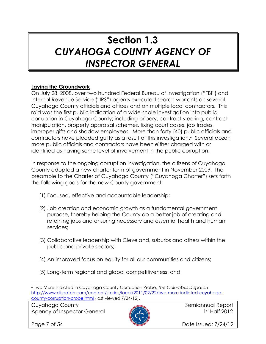## Section 1.3 CUYAHOGA COUNTY AGENCY OF INSPECTOR GENERAL

#### Laying the Groundwork

On July 28, 2008, over two hundred Federal Bureau of Investigation ("FBI") and Internal Revenue Service ("IRS") agents executed search warrants on several Cuyahoga County officials and offices and on multiple local contractors. This raid was the first public indication of a wide-scale investigation into public corruption in Cuyahoga County; including bribery, contract steering, contract manipulation, property appraisal schemes, fixing court cases, job trades, improper gifts and shadow employees. More than forty (40) public officials and contractors have pleaded guilty as a result of this investigation.6 Several dozen more public officials and contractors have been either charged with or identified as having some level of involvement in the public corruption.

In response to the ongoing corruption investigation, the citizens of Cuyahoga County adopted a new charter form of government in November 2009. The preamble to the Charter of Cuyahoga County ("Cuyahoga Charter") sets forth the following goals for the new County government:

- (1) Focused, effective and accountable leadership;
- (2) Job creation and economic growth as a fundamental government purpose, thereby helping the County do a better job of creating and retaining jobs and ensuring necessary and essential health and human services;
- (3) Collaborative leadership with Cleveland, suburbs and others within the public and private sectors;
- (4) An improved focus on equity for all our communities and citizens;
- (5) Long-term regional and global competitiveness; and

Cuyahoga County **Semiannual Report** Semiannual Report Agency of Inspector General 1st Half 2012



l.

Page 7 of 54 **Date Issued: 7/24/12** 

<sup>6</sup> Two More Indicted in Cuyahoga County Corruption Probe, The Columbus Dispatch http://www.dispatch.com/content/stories/local/2011/09/22/two-more-indicted-cuyahogacounty-corruption-probe.html (last viewed 7/24/12).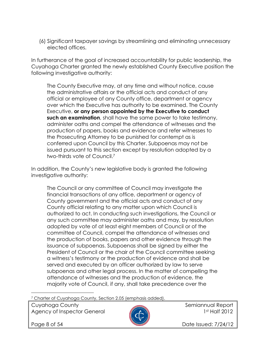(6) Significant taxpayer savings by streamlining and eliminating unnecessary elected offices.

In furtherance of the goal of increased accountability for public leadership, the Cuyahoga Charter granted the newly established County Executive position the following investigative authority:

The County Executive may, at any time and without notice, cause the administrative affairs or the official acts and conduct of any official or employee of any County office, department or agency over which the Executive has authority to be examined. The County Executive, or any person appointed by the Executive to conduct such an examination, shall have the same power to take testimony, administer oaths and compel the attendance of witnesses and the production of papers, books and evidence and refer witnesses to the Prosecuting Attorney to be punished for contempt as is conferred upon Council by this Charter. Subpoenas may not be issued pursuant to this section except by resolution adopted by a two-thirds vote of Council.<sup>7</sup>

In addition, the County's new legislative body is granted the following investigative authority:

The Council or any committee of Council may investigate the financial transactions of any office, department or agency of County government and the official acts and conduct of any County official relating to any matter upon which Council is authorized to act. In conducting such investigations, the Council or any such committee may administer oaths and may, by resolution adopted by vote of at least eight members of Council or of the committee of Council, compel the attendance of witnesses and the production of books, papers and other evidence through the issuance of subpoenas. Subpoenas shall be signed by either the President of Council or the chair of the Council committee seeking a witness's testimony or the production of evidence and shall be served and executed by an officer authorized by law to serve subpoenas and other legal process. In the matter of compelling the attendance of witnesses and the production of evidence, the majority vote of Council, if any, shall take precedence over the

7 Charter of Cuyahoga County, Section 2.05 (emphasis added).

Cuyahoga County **Semiannual Report** of the semiannual Report Agency of Inspector General **1st Half 2012** 



 $\overline{a}$ 

Page 8 of 54 **Date Issued: 7/24/12**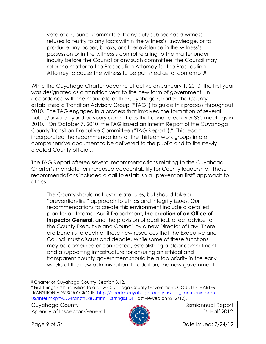vote of a Council committee. If any duly-subpoenaed witness refuses to testify to any facts within the witness's knowledge, or to produce any paper, books, or other evidence in the witness's possession or in the witness's control relating to the matter under inquiry before the Council or any such committee, the Council may refer the matter to the Prosecuting Attorney for the Prosecuting Attorney to cause the witness to be punished as for contempt.<sup>8</sup>

While the Cuyahoga Charter became effective on January 1, 2010, the first year was designated as a transition year to the new form of government. In accordance with the mandate of the Cuyahoga Charter, the County established a Transition Advisory Group ("TAG") to guide this process throughout 2010. The TAG engaged in a process that involved the formation of several public/private hybrid advisory committees that conducted over 330 meetings in 2010. On October 7, 2010, the TAG issued an Interim Report of the Cuyahoga County Transition Executive Committee ("TAG Report").9 This report incorporated the recommendations of the thirteen work groups into a comprehensive document to be delivered to the public and to the newly elected County officials.

The TAG Report offered several recommendations relating to the Cuyahoga Charter's mandate for increased accountability for County leadership. These recommendations included a call to establish a "prevention first" approach to ethics:

The County should not just create rules, but should take a "prevention-first" approach to ethics and integrity issues. Our recommendations to create this environment include a detailed plan for an Internal Audit Department, the creation of an Office of **Inspector General**, and the provision of qualified, direct advice to the County Executive and Council by a new Director of Law. There are benefits to each of these new resources that the Executive and Council must discuss and debate. While some of these functions may be combined or connected, establishing a clear commitment and a supporting infrastructure for ensuring an ethical and transparent county government should be a top priority in the early weeks of the new administration. In addition, the new government

Cuyahoga County **Semiannual Report** of the semiannual Report Agency of Inspector General **1st Half 2012** 



l.

Page 9 of 54 **Date Issued: 7/24/12** 

<sup>8</sup> Charter of Cuyahoga County, Section 3.12.

<sup>9</sup> First Things First: Transition to a New Cuyahoga County Government, COUNTY CHARTER TRANSITION ADVISORY GROUP, http://charter.cuyahogacounty.us/pdf\_transitioninfo/en-US/InterimRprt-CC-TranstnExeCmmt\_1stthngs.PDF (last viewed on 2/12/12).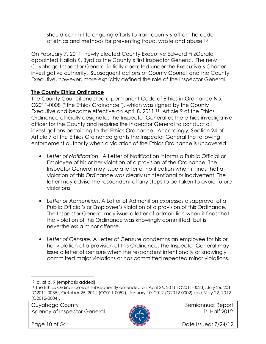should commit to ongoing efforts to train county staff on the code of ethics and methods for preventing fraud, waste and abuse.<sup>10</sup>

On February 7, 2011, newly elected County Executive Edward FitzGerald appointed Nailah K. Byrd as the County's first Inspector General. The new Cuyahoga Inspector General initially operated under the Executive's Charter investigative authority. Subsequent actions of County Council and the County Executive, however, more explicitly defined the role of the Inspector General.

#### The County Ethics Ordinance

The County Council enacted a permanent Code of Ethics in Ordinance No. O2011-0008 ("the Ethics Ordinance"), which was signed by the County Executive and became effective on April 8, 2011.<sup>11</sup> Article 9 of the Ethics Ordinance officially designates the Inspector General as the ethics investigative officer for the County and requires the Inspector General to conduct all investigations pertaining to the Ethics Ordinance. Accordingly, Section 24 of Article 7 of the Ethics Ordinance grants the Inspector General the following enforcement authority when a violation of the Ethics Ordinance is uncovered:

- Letter of Notification. A Letter of Notification informs a Public Official or Employee of his or her violation of a provision of the Ordinance. The Inspector General may issue a letter of notification when it finds that a violation of this Ordinance was clearly unintentional or inadvertent. The letter may advise the respondent of any steps to be taken to avoid future violations.
- Letter of Admonition. A Letter of Admonition expresses disapproval of a Public Official's or Employee's violation of a provision of this Ordinance. The Inspector General may issue a letter of admonition when it finds that the violation of this Ordinance was knowingly committed, but is nevertheless a minor offense.
- Letter of Censure. A Letter of Censure condemns an employee for his or her violation of a provision of this Ordinance. The Inspector General may issue a letter of censure when the respondent intentionally or knowingly committed major violations or has committed repeated minor violations.

Cuyahoga County **Semiannual Report** Semiannual Report Agency of Inspector General **1st Half 2012** 



l.

Page 10 of 54 Date Issued: 7/24/12

<sup>10</sup> Id. at p. 9 (emphasis added).

<sup>&</sup>lt;sup>11</sup> The Ethics Ordinance was subsequently amended on April 26, 2011 (O2011-0023), July 26, 2011 (O2011-0035), October 25, 2011 (O2011-0052), January 10, 2012 (O2012-0002) and May 22, 2012 (O2012-0004).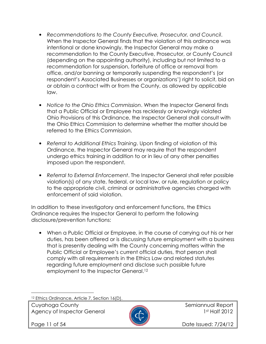- Recommendations to the County Executive, Prosecutor, and Council. When the Inspector General finds that the violation of this ordinance was intentional or done knowingly, the Inspector General may make a recommendation to the County Executive, Prosecutor, or County Council (depending on the appointing authority), including but not limited to a recommendation for suspension, forfeiture of office or removal from office, and/or banning or temporarily suspending the respondent's (or respondent's Associated Businesses or organizations') right to solicit, bid on or obtain a contract with or from the County, as allowed by applicable law.
- Notice to the Ohio Ethics Commission. When the Inspector General finds that a Public Official or Employee has recklessly or knowingly violated Ohio Provisions of this Ordinance, the Inspector General shall consult with the Ohio Ethics Commission to determine whether the matter should be referred to the Ethics Commission.
- Referral to Additional Ethics Training. Upon finding of violation of this Ordinance, the Inspector General may require that the respondent undergo ethics training in addition to or in lieu of any other penalties imposed upon the respondent.
- Referral to External Enforcement. The Inspector General shall refer possible violation(s) of any state, federal, or local law, or rule, regulation or policy to the appropriate civil, criminal or administrative agencies charged with enforcement of said violation.

In addition to these investigatory and enforcement functions, the Ethics Ordinance requires the Inspector General to perform the following disclosure/prevention functions:

• When a Public Official or Employee, in the course of carrying out his or her duties, has been offered or is discussing future employment with a business that is presently dealing with the County concerning matters within the Public Official or Employee's current official duties, that person shall comply with all requirements in the Ethics Law and related statutes regarding future employment and disclose such possible future employment to the Inspector General.<sup>12</sup>

12 Ethics Ordinance, Article 7, Section 16(D).

Cuyahoga County **Semiannual Report** of the semiannual Report Agency of Inspector General 2012



 $\overline{a}$ 

Page 11 of 54 Date Issued: 7/24/12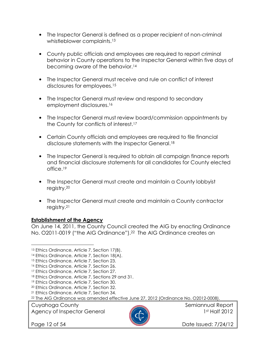- The Inspector General is defined as a proper recipient of non-criminal whistleblower complaints.<sup>13</sup>
- County public officials and employees are required to report criminal behavior in County operations to the Inspector General within five days of becoming aware of the behavior.<sup>14</sup>
- The Inspector General must receive and rule on conflict of interest disclosures for employees.<sup>15</sup>
- The Inspector General must review and respond to secondary employment disclosures.<sup>16</sup>
- The Inspector General must review board/commission appointments by the County for conflicts of interest.<sup>17</sup>
- Certain County officials and employees are required to file financial disclosure statements with the Inspector General.<sup>18</sup>
- The Inspector General is required to obtain all campaign finance reports and financial disclosure statements for all candidates for County elected office.<sup>19</sup>
- The Inspector General must create and maintain a County lobbyist registry.<sup>20</sup>
- The Inspector General must create and maintain a County contractor registry.<sup>21</sup>

#### Establishment of the Agency

On June 14, 2011, the County Council created the AIG by enacting Ordinance No. O2011-0019 ("the AIG Ordinance").22 The AIG Ordinance creates an

Cuyahoga County **Semiannual Report** Semiannual Report Agency of Inspector General **1st Half 2012** 



l.

Page 12 of 54 Date Issued: 7/24/12

<sup>13</sup> Ethics Ordinance, Article 7, Section 17(B).

<sup>14</sup> Ethics Ordinance, Article 7, Section 18(A).

<sup>&</sup>lt;sup>15</sup> Ethics Ordinance, Article 7, Section 23.

<sup>16</sup> Ethics Ordinance, Article 7, Section 26.

<sup>&</sup>lt;sup>17</sup> Ethics Ordinance, Article 7, Section 27.

<sup>18</sup> Ethics Ordinance, Article 7, Sections 29 and 31.

<sup>19</sup> Ethics Ordinance, Article 7, Section 30.

<sup>20</sup> Ethics Ordinance, Article 7, Section 32.

<sup>21</sup> Ethics Ordinance, Article 7, Section 34.

<sup>&</sup>lt;sup>22</sup> The AIG Ordinance was amended effective June 27, 2012 (Ordinance No. O2012-0008).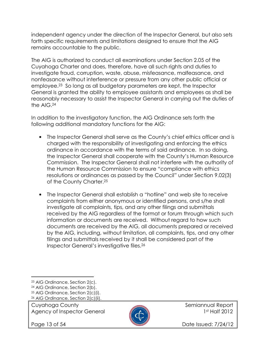independent agency under the direction of the Inspector General, but also sets forth specific requirements and limitations designed to ensure that the AIG remains accountable to the public.

The AIG is authorized to conduct all examinations under Section 2.05 of the Cuyahoga Charter and does, therefore, have all such rights and duties to investigate fraud, corruption, waste, abuse, misfeasance, malfeasance, and nonfeasance without interference or pressure from any other public official or employee.23 So long as all budgetary parameters are kept, the Inspector General is granted the ability to employee assistants and employees as shall be reasonably necessary to assist the Inspector General in carrying out the duties of the AIG.<sup>24</sup>

In addition to the investigatory function, the AIG Ordinance sets forth the following additional mandatory functions for the AIG:

- The Inspector General shall serve as the County's chief ethics officer and is charged with the responsibility of investigating and enforcing the ethics ordinance in accordance with the terms of said ordinance. In so doing, the Inspector General shall cooperate with the County's Human Resource Commission. The Inspector General shall not interfere with the authority of the Human Resource Commission to ensure "compliance with ethics resolutions or ordinances as passed by the Council" under Section 9.02(3) of the County Charter.<sup>25</sup>
- The Inspector General shall establish a "hotline" and web site to receive complaints from either anonymous or identified persons, and s/he shall investigate all complaints, tips, and any other filings and submittals received by the AIG regardless of the format or forum through which such information or documents are received. Without regard to how such documents are received by the AIG, all documents prepared or received by the AIG, including, without limitation, all complaints, tips, and any other filings and submittals received by it shall be considered part of the Inspector General's investigative files.<sup>26</sup>

Agency of Inspector General **1st Half 2012** 

l.



Page 13 of 54 **Date Issued: 7/24/12** 

<sup>23</sup> AIG Ordinance, Section 2(c).

<sup>24</sup> AIG Ordinance, Section 2(b).

<sup>25</sup> AIG Ordinance, Section 2(c)(i).

Cuyahoga County **Semiannual Report** Semiannual Report 26 AIG Ordinance, Section 2(c)(ii).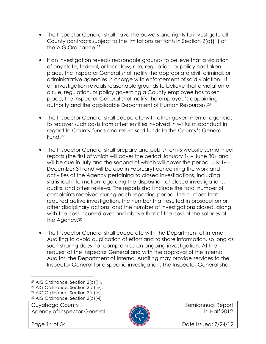- The Inspector General shall have the powers and rights to investigate all County contracts subject to the limitations set forth in Section 2(d)(iii) of the AIG Ordinance.<sup>27</sup>
- If an investigation reveals reasonable grounds to believe that a violation of any state, federal, or local law, rule, regulation, or policy has taken place, the Inspector General shall notify the appropriate civil, criminal, or administrative agencies in charge with enforcement of said violation. If an investigation reveals reasonable grounds to believe that a violation of a rule, regulation, or policy governing a County employee has taken place, the Inspector General shall notify the employee's appointing authority and the applicable Department of Human Resources.<sup>28</sup>
- The Inspector General shall cooperate with other governmental agencies to recover such costs from other entities involved in willful misconduct in regard to County funds and return said funds to the County's General Fund.<sup>29</sup>
- The Inspector General shall prepare and publish on its website semiannual reports (the first of which will cover the period January 1st-June 30th and will be due in July and the second of which will cover the period July 1st-December  $31$ <sup>st</sup> and will be due in February) concerning the work and activities of the Agency pertaining to closed investigations, including statistical information regarding the disposition of closed investigations, audits, and other reviews. The reports shall include the total number of complaints received during each reporting period, the number that required active investigation, the number that resulted in prosecution or other disciplinary actions, and the number of investigations closed, along with the cost incurred over and above that of the cost of the salaries of the Agency.<sup>30</sup>
- The Inspector General shall cooperate with the Department of Internal Auditing to avoid duplication of effort and to share information, so long as such sharing does not compromise an ongoing investigation. At the request of the Inspector General and with the approval of the Internal Auditor, the Department of Internal Auditing may provide services to the Inspector General for a specific investigation. The Inspector General shall

Cuyahoga County **Semiannual Report** of the semiannual Report Agency of Inspector General **1st Half 2012** 

l.



Page 14 of 54 **Date Issued: 7/24/12** 

<sup>27</sup> AIG Ordinance, Section 2(c)(iii).

<sup>28</sup> AIG Ordinance, Section 2(c)(iv).

<sup>29</sup> AIG Ordinance, Section 2(c)(v).

<sup>30</sup> AIG Ordinance, Section 2(c)(vi)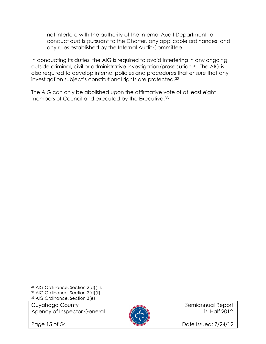not interfere with the authority of the Internal Audit Department to conduct audits pursuant to the Charter, any applicable ordinances, and any rules established by the Internal Audit Committee.

In conducting its duties, the AIG is required to avoid interfering in any ongoing outside criminal, civil or administrative investigation/prosecution.31 The AIG is also required to develop internal policies and procedures that ensure that any investigation subject's constitutional rights are protected.<sup>32</sup>

The AIG can only be abolished upon the affirmative vote of at least eight members of Council and executed by the Executive.<sup>33</sup>

Cuyahoga County **Semiannual Report** Semiannual Report Agency of Inspector General 2012

l.



Page 15 of 54 Date Issued: 7/24/12

<sup>31</sup> AIG Ordinance, Section 2(d)(1). <sup>32</sup> AIG Ordinance, Section 2(d)(ii).

<sup>33</sup> AIG Ordinance, Section 3(e).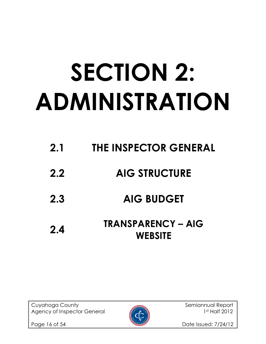# SECTION 2: ADMINISTRATION

2.1 THE INSPECTOR GENERAL 2.2 AIG STRUCTURE 2.3 AIG BUDGET 2.4 TRANSPARENCY – AIG **WEBSITE** 

Cuyahoga County **Semiannual Report** Semiannual Report Agency of Inspector General 1st Half 2012



Page 16 of 54 Date Issued: 7/24/12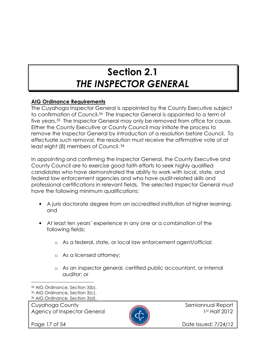## Section 2.1 THE INSPECTOR GENERAL

#### AIG Ordinance Requirements

The Cuyahoga Inspector General is appointed by the County Executive subject to confirmation of Council.34 The Inspector General is appointed to a term of five years.35 The Inspector General may only be removed from office for cause. Either the County Executive or County Council may initiate the process to remove the Inspector General by introduction of a resolution before Council. To effectuate such removal, the resolution must receive the affirmative vote of at least eight (8) members of Council.<sup>36</sup>

In appointing and confirming the Inspector General, the County Executive and County Council are to exercise good faith efforts to seek highly qualified candidates who have demonstrated the ability to work with local, state, and federal law enforcement agencies and who have audit-related skills and professional certifications in relevant fields. The selected Inspector General must have the following minimum qualifications:

- A juris doctorate degree from an accredited institution of higher learning; and
- At least ten years' experience in any one or a combination of the following fields:
	- o As a federal, state, or local law enforcement agent/official;
	- o As a licensed attorney;
	- o As an inspector general, certified public accountant, or internal auditor; or

Cuyahoga County **Semiannual Report** of the semiannual Report Agency of Inspector General **1st Half 2012** 



l.



Page 17 of 54 **Date Issued: 7/24/12** 

<sup>34</sup> AIG Ordinance, Section 3(b).

<sup>35</sup> AIG Ordinance, Section 3(c).

<sup>36</sup> AIG Ordinance, Section 3(d).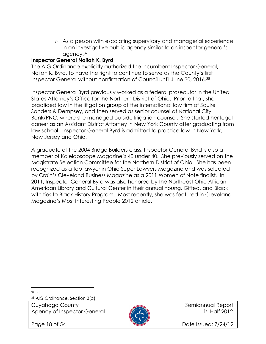o As a person with escalating supervisory and managerial experience in an investigative public agency similar to an inspector general's agency.<sup>37</sup>

#### Inspector General Nailah K. Byrd

The AIG Ordinance explicitly authorized the incumbent Inspector General, Nailah K. Byrd, to have the right to continue to serve as the County's first Inspector General without confirmation of Council until June 30, 2016.<sup>38</sup>

Inspector General Byrd previously worked as a federal prosecutor in the United States Attorney's Office for the Northern District of Ohio. Prior to that, she practiced law in the litigation group at the international law firm of Squire Sanders & Dempsey, and then served as senior counsel at National City Bank/PNC, where she managed outside litigation counsel. She started her legal career as an Assistant District Attorney in New York County after graduating from law school. Inspector General Byrd is admitted to practice law in New York, New Jersey and Ohio.

A graduate of the 2004 Bridge Builders class, Inspector General Byrd is also a member of Kaleidoscope Magazine's 40 under 40. She previously served on the Magistrate Selection Committee for the Northern District of Ohio. She has been recognized as a top lawyer in Ohio Super Lawyers Magazine and was selected by Crain's Cleveland Business Magazine as a 2011 Women of Note finalist. In 2011, Inspector General Byrd was also honored by the Northeast Ohio African American Library and Cultural Center in their annual Young, Gifted, and Black with ties to Black History Program. Most recently, she was featured in Cleveland Magazine's Most Interesting People 2012 article.

 $37 \, \text{Id}$ 

l.

38 AIG Ordinance, Section 3(a).

Cuyahoga County **Semiannual Report** of the semiannual Report Agency of Inspector General **1st Half 2012** 



Page 18 of 54 **Date Issued: 7/24/12**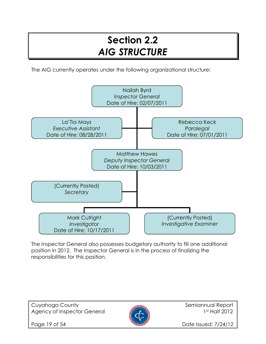## Section 2.2 AIG STRUCTURE

The AIG currently operates under the following organizational structure:



The Inspector General also possesses budgetary authority to fill one additional position in 2012. The Inspector General is in the process of finalizing the responsibilities for this position.

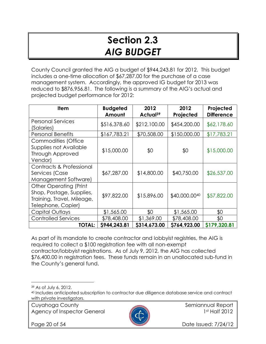## Section 2.3 AIG BUDGET

County Council granted the AIG a budget of \$944,243.81 for 2012. This budget includes a one-time allocation of \$67,287.00 for the purchase of a case management system. Accordingly, the approved IG budget for 2013 was reduced to \$876,956.81. The following is a summary of the AIG's actual and projected budget performance for 2012:

| <b>Item</b>                                                                                                   | <b>Budgeted</b><br>Amount | 2012<br>Actual <sup>39</sup> | 2012<br>Projected | Projected<br><b>Difference</b> |
|---------------------------------------------------------------------------------------------------------------|---------------------------|------------------------------|-------------------|--------------------------------|
| <b>Personal Services</b><br>(Salaries)                                                                        | \$516,378.60              | \$212,100.00                 | \$454,200.00      | \$62,178.60                    |
| <b>Personal Benefits</b>                                                                                      | \$167,783.21              | \$70,508.00                  | \$150,000.00      | \$17,783.21                    |
| Commodities (Office<br>Supplies not Available<br><b>Through Approved</b><br>Vendor)                           | \$15,000.00               | \$0                          | \$0               | \$15,000.00                    |
| Contracts & Professional<br>Services (Case<br>Management Software)                                            | \$67,287.00               | \$14,800.00                  | \$40,750.00       | \$26,537.00                    |
| <b>Other Operating (Print</b><br>Shop, Postage, Supplies,<br>Training, Travel, Mileage,<br>Telephone, Copier) | \$97,822.00               | \$15,896.00                  | \$40,000.0040     | \$57,822.00                    |
| Capital Outlays                                                                                               | \$1,565.00                | \$0                          | \$1,565.00        | \$0                            |
| <b>Controlled Services</b>                                                                                    | \$78,408.00               | \$1,369.00                   | \$78,408.00       | \$0                            |
| <b>TOTAL:</b>                                                                                                 | \$944,243.81              | \$314,673.00                 | \$764,923.00      | \$179,320.81                   |

As part of its mandate to create contractor and lobbyist registries, the AIG is required to collect a \$100 registration fee with all non-exempt contractor/lobbyist registrations. As of July 9, 2012, the AIG has collected \$76,400.00 in registration fees. These funds remain in an unallocated sub-fund in the County's general fund.

l.

Cuyahoga County **Semiannual Report** Semiannual Report Agency of Inspector General 1st Half 2012



Page 20 of 54 Date Issued: 7/24/12

<sup>39</sup> As of July 6, 2012.

<sup>40</sup> Includes anticipated subscription to contractor due diligence database service and contract with private investigators.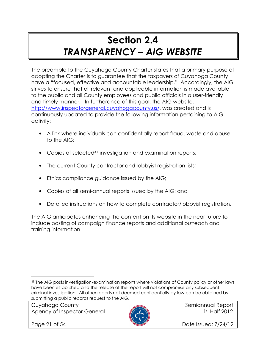## Section 2.4 TRANSPARENCY – AIG WEBSITE

The preamble to the Cuyahoga County Charter states that a primary purpose of adopting the Charter is to guarantee that the taxpayers of Cuyahoga County have a "focused, effective and accountable leadership." Accordingly, the AIG strives to ensure that all relevant and applicable information is made available to the public and all County employees and public officials in a user-friendly and timely manner. In furtherance of this goal, the AIG website, http://www.inspectorgeneral.cuyahogacounty.us/, was created and is continuously updated to provide the following information pertaining to AIG activity:

- A link where individuals can confidentially report fraud, waste and abuse to the AIG;
- Copies of selected<sup>41</sup> investigation and examination reports;
- The current County contractor and lobbyist registration lists;
- Ethics compliance guidance issued by the AIG;
- Copies of all semi-annual reports issued by the AIG; and
- Detailed instructions on how to complete contractor/lobbyist registration.

The AIG anticipates enhancing the content on its website in the near future to include posting of campaign finance reports and additional outreach and training information.

Cuyahoga County **Semiannual Report** Semiannual Report Agency of Inspector General 1st Half 2012



l.

Page 21 of 54 **Date Issued: 7/24/12** 

<sup>41</sup> The AIG posts investigation/examination reports where violations of County policy or other laws have been established and the release of the report will not compromise any subsequent criminal investigation. All other reports not deemed confidentially by law can be obtained by submitting a public records request to the AIG.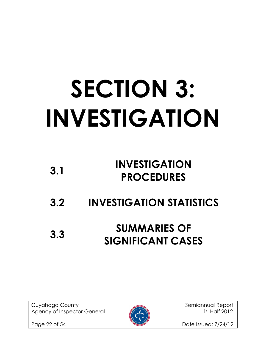# SECTION 3: INVESTIGATION

| 3.1 | <b>INVESTIGATION</b> |
|-----|----------------------|
|     | <b>PROCEDURES</b>    |

3.2 INVESTIGATION STATISTICS

## 3.3 SUMMARIES OF SIGNIFICANT CASES

Cuyahoga County and Semiannual Report Agency of Inspector General 1st Half 2012



Page 22 of 54 Date Issued: 7/24/12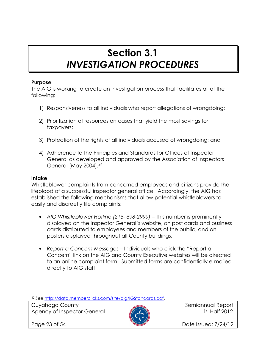## Section 3.1 INVESTIGATION PROCEDURES

#### Purpose

The AIG is working to create an investigation process that facilitates all of the following:

- 1) Responsiveness to all individuals who report allegations of wrongdoing;
- 2) Prioritization of resources on cases that yield the most savings for taxpayers;
- 3) Protection of the rights of all individuals accused of wrongdoing; and
- 4) Adherence to the Principles and Standards for Offices of Inspector General as developed and approved by the Association of Inspectors General (May 2004).<sup>42</sup>

#### Intake

Whistleblower complaints from concerned employees and citizens provide the lifeblood of a successful inspector general office. Accordingly, the AIG has established the following mechanisms that allow potential whistleblowers to easily and discreetly file complaints:

- AIG Whistleblower Hotline (216-698-2999) This number is prominently displayed on the Inspector General's website, on post cards and business cards distributed to employees and members of the public, and on posters displayed throughout all County buildings.
- Report a Concern Messages Individuals who click the "Report a Concern" link on the AIG and County Executive websites will be directed to an online complaint form. Submitted forms are confidentially e-mailed directly to AIG staff.

Cuyahoga County **Semiannual Report** of the semiannual Report Agency of Inspector General 1st Half 2012



 $\overline{a}$ 

Page 23 of 54 **Date Issued: 7/24/12** 

<sup>42</sup> See http://data.memberclicks.com/site/aig/IGStandards.pdf.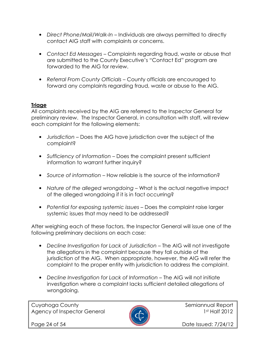- Direct Phone/Mail/Walk-In Individuals are always permitted to directly contact AIG staff with complaints or concerns.
- Contact Ed Messages Complaints regarding fraud, waste or abuse that are submitted to the County Executive's "Contact Ed" program are forwarded to the AIG for review.
- Referral From County Officials County officials are encouraged to forward any complaints regarding fraud, waste or abuse to the AIG.

#### **Triage**

All complaints received by the AIG are referred to the Inspector General for preliminary review. The Inspector General, in consultation with staff, will review each complaint for the following elements:

- Jurisdiction Does the AIG have jurisdiction over the subject of the complaint?
- Sufficiency of Information Does the complaint present sufficient information to warrant further inquiry?
- Source of information How reliable is the source of the information?
- Nature of the alleged wrongdoing What is the actual negative impact of the alleged wrongdoing if it is in fact occurring?
- Potential for exposing systemic issues Does the complaint raise larger systemic issues that may need to be addressed?

After weighing each of these factors, the Inspector General will issue one of the following preliminary decisions on each case:

- Decline Investigation for Lack of Jurisdiction The AIG will not investigate the allegations in the complaint because they fall outside of the jurisdiction of the AIG. When appropriate, however, the AIG will refer the complaint to the proper entity with jurisdiction to address the complaint.
- Decline Investigation for Lack of Information The AIG will not initiate investigation where a complaint lacks sufficient detailed allegations of wrongdoing.

Cuyahoga County **Semiannual Report** Semiannual Report Agency of Inspector General 2012



Page 24 of 54 **Date Issued: 7/24/12**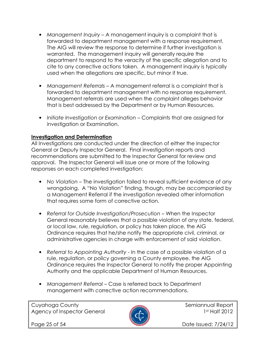- Management Inquiry A management inquiry is a complaint that is forwarded to department management with a response requirement. The AIG will review the response to determine if further investigation is warranted. The management inquiry will generally require the department to respond to the veracity of the specific allegation and to cite to any corrective actions taken. A management inquiry is typically used when the allegations are specific, but minor if true.
- Management Referrals A management referral is a complaint that is forwarded to department management with no response requirement. Management referrals are used when the complaint alleges behavior that is best addressed by the Department or by Human Resources.
- Initiate Investigation or Examination Complaints that are assigned for investigation or Examination.

#### Investigation and Determination

All Investigations are conducted under the direction of either the Inspector General or Deputy Inspector General. Final investigation reports and recommendations are submitted to the Inspector General for review and approval. The Inspector General will issue one or more of the following responses on each completed investigation:

- No Violation The investigation failed to reveal sufficient evidence of any wrongdoing. A "No Violation" finding, though, may be accompanied by a Management Referral if the investigation revealed other information that requires some form of corrective action.
- Referral for Outside Investigation/Prosecution When the Inspector General reasonably believes that a possible violation of any state, federal, or local law, rule, regulation, or policy has taken place, the AIG Ordinance requires that he/she notify the appropriate civil, criminal, or administrative agencies in charge with enforcement of said violation.
- Referral to Appointing Authority In the case of a possible violation of a rule, regulation, or policy governing a County employee, the AIG Ordinance requires the Inspector General to notify the proper Appointing Authority and the applicable Department of Human Resources.
- Management Referral Case is referred back to Department management with corrective action recommendations.

Cuyahoga County **Semiannual Report** Semiannual Report Agency of Inspector General **1st Half 2012** 



Page 25 of 54 **Date Issued: 7/24/12**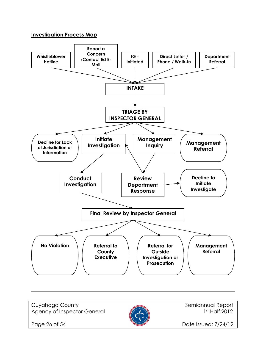#### Investigation Process Map



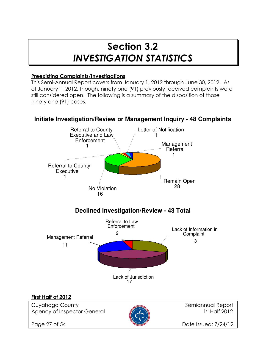### Section 3.2 INVESTIGATION STATISTICS

#### Preexisting Complaints/Investigations

This Semi-Annual Report covers from January 1, 2012 through June 30, 2012. As of January 1, 2012, though, ninety one (91) previously received complaints were still considered open. The following is a summary of the disposition of those ninety one (91) cases.



#### **Initiate Investigation/Review or Management Inquiry - 48 Complaints**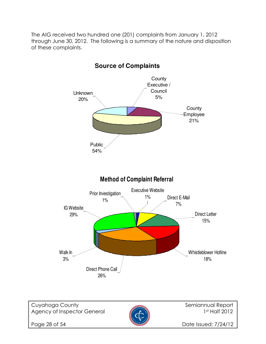The AIG received two hundred one (201) complaints from January 1, 2012 through June 30, 2012. The following is a summary of the nature and disposition of these complaints.



**Source of Complaints**

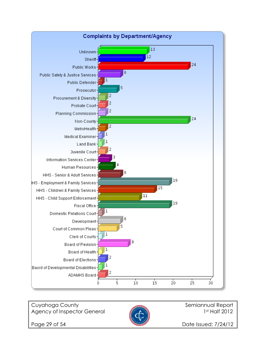

Cuyahoga County **Semiannual Report** Semiannual Report Agency of Inspector General 2012



Page 29 of 54 Date Issued: 7/24/12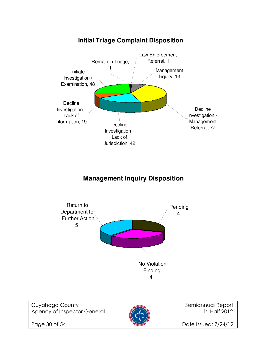

#### **Initial Triage Complaint Disposition**

#### **Management Inquiry Disposition**



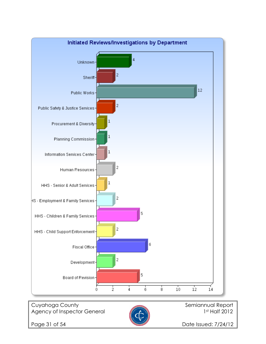

Page 31 of 54 Date Issued: 7/24/12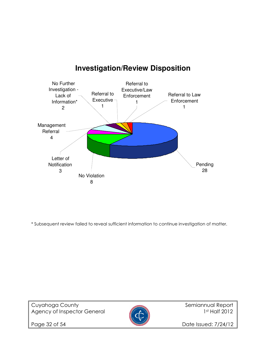

#### **Investigation/Review Disposition**

\* Subsequent review failed to reveal sufficient information to continue investigation of matter.





Page 32 of 54 Date Issued: 7/24/12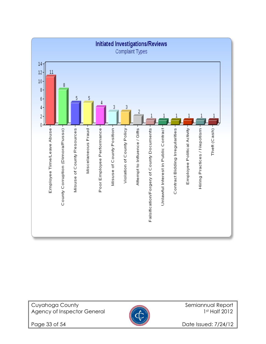

Cuyahoga County **Semiannual Report** Semiannual Report Agency of Inspector General **1st Half 2012** 



Page 33 of 54 Date Issued: 7/24/12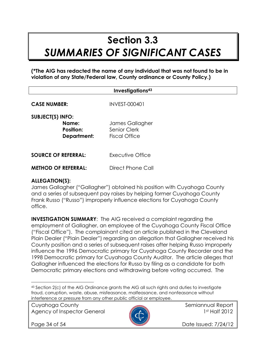## Section 3.3 SUMMARIES OF SIGNIFICANT CASES

(\*The AIG has redacted the name of any individual that was not found to be in violation of any State/Federal law, County ordinance or County Policy.)

| Investigations <sup>43</sup>                                        |                                                         |  |
|---------------------------------------------------------------------|---------------------------------------------------------|--|
| <b>CASE NUMBER:</b>                                                 | <b>INVEST-000401</b>                                    |  |
| <b>SUBJECT(S) INFO:</b><br>Name:<br><b>Position:</b><br>Department: | James Gallagher<br>Senior Clerk<br><b>Fiscal Office</b> |  |
| <b>SOURCE OF REFERRAL:</b>                                          | Executive Office                                        |  |
| <b>METHOD OF REFERRAL:</b>                                          | Direct Phone Call                                       |  |

#### ALLEGATION(S):

James Gallagher ("Gallagher") obtained his position with Cuyahoga County and a series of subsequent pay raises by helping former Cuyahoga County Frank Russo ("Russo") improperly influence elections for Cuyahoga County office.

INVESTIGATION SUMMARY: The AIG received a complaint regarding the employment of Gallagher, an employee of the Cuyahoga County Fiscal Office ("Fiscal Office"). The complainant cited an article published in the Cleveland Plain Dealer ("Plain Dealer") regarding an allegation that Gallagher received his County position and a series of subsequent raises after helping Russo improperly influence the 1996 Democratic primary for Cuyahoga County Recorder and the 1998 Democratic primary for Cuyahoga County Auditor. The article alleges that Gallagher influenced the elections for Russo by filing as a candidate for both Democratic primary elections and withdrawing before voting occurred. The

Cuyahoga County **Semiannual Report** Semiannual Report Agency of Inspector General 1st Half 2012



l.

Page 34 of 54 **Date Issued: 7/24/12** 

<sup>43</sup> Section 2(c) of the AIG Ordinance grants the AIG all such rights and duties to investigate fraud, corruption, waste, abuse, misfeasance, malfeasance, and nonfeasance without interference or pressure from any other public official or employee.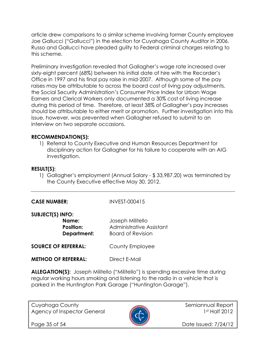article drew comparisons to a similar scheme involving former County employee Joe Gallucci ("Gallucci") in the election for Cuyahoga County Auditor in 2006. Russo and Gallucci have pleaded guilty to Federal criminal charges relating to this scheme.

Preliminary investigation revealed that Gallagher's wage rate increased over sixty-eight percent (68%) between his initial date of hire with the Recorder's Office in 1997 and his final pay raise in mid-2007. Although some of the pay raises may be attributable to across the board cost of living pay adjustments, the Social Security Administration's Consumer Price Index for Urban Wage Earners and Clerical Workers only documented a 30% cost of living increase during this period of time. Therefore, at least 38% of Gallagher's pay increases should be attributable to either merit or promotion. Further investigation into this issue, however, was prevented when Gallagher refused to submit to an interview on two separate occasions.

#### RECOMMENDATION(S):

1) Referral to County Executive and Human Resources Department for disciplinary action for Gallagher for his failure to cooperate with an AIG investigation.

#### RESULT(S):

1) Gallagher's employment (Annual Salary - \$ 33,987.20) was terminated by the County Executive effective May 30, 2012.

#### CASE NUMBER: INVEST-000415

#### SUBJECT(S) INFO:

| Name:            | Joseph Militello         |
|------------------|--------------------------|
| <b>Position:</b> | Administrative Assistant |
| Department:      | <b>Board of Revision</b> |
|                  |                          |

**SOURCE OF REFERRAL:** County Employee

METHOD OF REFERRAL: Direct F-Mail

ALLEGATION(S): Joseph Militello ("Militello") is spending excessive time during regular working hours smoking and listening to the radio in a vehicle that is parked in the Huntington Park Garage ("Huntington Garage").

Cuyahoga County **Semiannual Report** Semiannual Report Agency of Inspector General **1st Half 2012** 



Page 35 of 54 **Date Issued: 7/24/12**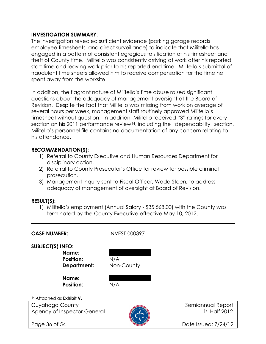#### INVESTIGATION SUMMARY:

The investigation revealed sufficient evidence (parking garage records, employee timesheets, and direct surveillance) to indicate that Militello has engaged in a pattern of consistent egregious falsification of his timesheet and theft of County time. Militello was consistently arriving at work after his reported start time and leaving work prior to his reported end time. Militello's submittal of fraudulent time sheets allowed him to receive compensation for the time he spent away from the worksite.

In addition, the flagrant nature of Militello's time abuse raised significant questions about the adequacy of management oversight at the Board of Revision. Despite the fact that Militello was missing from work on average of several hours per week, management staff routinely approved Militello's timesheet without question. In addition, Militello received "3" ratings for every section on his 2011 performance review44, including the "dependability" section. Militello's personnel file contains no documentation of any concern relating to his attendance.

#### RECOMMENDATION(S):

- 1) Referral to County Executive and Human Resources Department for disciplinary action.
- 2) Referral to County Prosecutor's Office for review for possible criminal prosecution.
- 3) Management inquiry sent to Fiscal Officer, Wade Steen, to address adequacy of management of oversight at Board of Revision.

#### RESULT(S):

1) Militello's employment (Annual Salary - \$35,568.00) with the County was terminated by the County Executive effective May 10, 2012.

| <b>CASE NUMBER:</b>                                                                              | <b>INVEST-000397</b>     |                                    |
|--------------------------------------------------------------------------------------------------|--------------------------|------------------------------------|
| <b>SUBJECT(S) INFO:</b><br>Name:<br><b>Position:</b><br>Department:<br>Name:<br><b>Position:</b> | N/A<br>Non-County<br>N/A |                                    |
| <sup>44</sup> Attached as <b>Exhibit V.</b>                                                      |                          |                                    |
| Cuyahoga County<br>Agency of Inspector General                                                   |                          | Semiannual Report<br>1st Half 2012 |
| Page 36 of 54                                                                                    |                          | Date Issued: 7/24/12               |
|                                                                                                  |                          |                                    |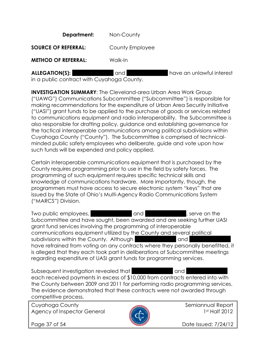**Department:** Non-County

**SOURCE OF REFERRAL:** County Employee

METHOD OF REFERRAL: Walk-In

| <b>ALLEGATION(S):</b> |  |
|-----------------------|--|
|-----------------------|--|

and and  $\overline{a}$  have an unlawful interest

in a public contract with Cuyahoga County.

INVESTIGATION SUMMARY: The Cleveland-area Urban Area Work Group ("UAWG") Communications Subcommittee ("Subcommittee") is responsible for making recommendations for the expenditure of Urban Area Security Initiative ("UASI") grant funds to be applied to the purchase of goods or services related to communications equipment and radio interoperability. The Subcommittee is also responsible for drafting policy, guidance and establishing governance for the tactical interoperable communications among political subdivisions within Cuyahoga County ("County"). The Subcommittee is comprised of technicalminded public safety employees who deliberate, guide and vote upon how such funds will be expended and policy applied.

Certain interoperable communications equipment that is purchased by the County requires programming prior to use in the field by safety forces. The programming of such equipment requires specific technical skills and knowledge of communications hardware. More importantly, though, the programmers must have access to secure electronic system "keys" that are issued by the State of Ohio's Multi-Agency Radio Communications System ("MARCS") Division.

Two public employees,  $\Box$  and  $\Box$  and  $\Box$  xerve on the Subcommittee and have sought, been awarded and are seeking further UASI grant fund services involving the programming of interoperable communications equipment utilized by the County and several political subdivisions within the County. Although XXXX and have refrained from voting on any contracts where they personally benefitted, it is alleged that they each took part in deliberations at Subcommittee meetings regarding expenditure of UASI grant funds for programming services.

Subsequent investigation revealed that XXXXXXXXXXXXXXXXXXX each received payments in excess of \$10,000 from contracts entered into with the County between 2009 and 2011 for performing radio programming services. The evidence demonstrated that these contracts were not awarded through competitive process.

Cuyahoga County and Semiannual Report Agency of Inspector General 2012



Page 37 of 54 **Date Issued: 7/24/12**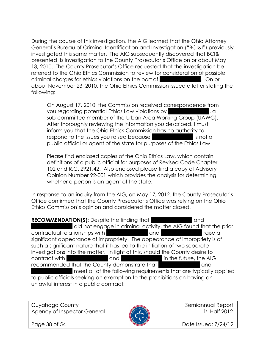During the course of this investigation, the AIG learned that the Ohio Attorney General's Bureau of Criminal Identification and Investigation ("BCI&I") previously investigated this same matter. The AIG subsequently discovered that BCI&I presented its investigation to the County Prosecutor's Office on or about May 13, 2010. The County Prosecutor's Office requested that the investigation be referred to the Ohio Ethics Commission to review for consideration of possible criminal charges for ethics violations on the part of XXX. On or about November 23, 2010, the Ohio Ethics Commission issued a letter stating the following:

On August 17, 2010, the Commission received correspondence from you regarding potential Ethics Law violations by XXXXIII and XXIII sub-committee member of the Urban Area Working Group (UAWG). After thoroughly reviewing the information you described, I must inform you that the Ohio Ethics Commission has no authority to respond to the issues you raised because XXXXXII is not a public official or agent of the state for purposes of the Ethics Law.

Please find enclosed copies of the Ohio Ethics Law, which contain definitions of a public official for purposes of Revised Code Chapter 102 and R.C. 2921.42. Also enclosed please find a copy of Advisory Opinion Number 92-001 which provides the analysis for determining whether a person is an agent of the state.

In response to an inquiry from the AIG, on May 17, 2012, the County Prosecutor's Office confirmed that the County Prosecutor's Office was relying on the Ohio Ethics Commission's opinion and considered the matter closed.

**RECOMMENDATION(S):** Despite the finding that XXX and did not engage in criminal activity, the AIG found that the prior contractual relationships with XXXXXXXXXXXXXXX and XXXX and XXXXXXXX raise a significant appearance of impropriety. The appearance of impropriety is of such a significant nature that it has led to the initiation of two separate investigations into the matter. In light of this, should the County desire to contract with XXXXXXXXXXXXX and XXXXXXXXXXXXX in the future, the AIG recommended that the County demonstrate that XXXXXXX and meet all of the following requirements that are typically applied to public officials seeking an exemption to the prohibitions on having an unlawful interest in a public contract:

Cuyahoga County and Semiannual Report Agency of Inspector General **1st Half 2012** 



Page 38 of 54 **Date Issued: 7/24/12**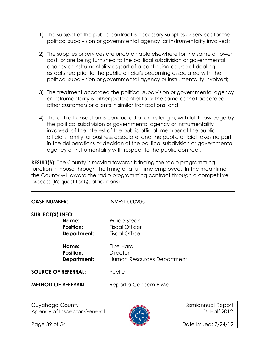- 1) The subject of the public contract is necessary supplies or services for the political subdivision or governmental agency, or instrumentality involved;
- 2) The supplies or services are unobtainable elsewhere for the same or lower cost, or are being furnished to the political subdivision or governmental agency or instrumentality as part of a continuing course of dealing established prior to the public official's becoming associated with the political subdivision or governmental agency or instrumentality involved;
- 3) The treatment accorded the political subdivision or governmental agency or instrumentality is either preferential to or the same as that accorded other customers or clients in similar transactions; and
- 4) The entire transaction is conducted at arm's length, with full knowledge by the political subdivision or governmental agency or instrumentality involved, of the interest of the public official, member of the public official's family, or business associate, and the public official takes no part in the deliberations or decision of the political subdivision or governmental agency or instrumentality with respect to the public contract.

**RESULT(S):** The County is moving towards bringing the radio programming function in-house through the hiring of a full-time employee. In the meantime, the County will award the radio programming contract through a competitive process (Request for Qualifications).

| <b>CASE NUMBER:</b>                                                 | <b>INVEST-000205</b>                                        |                                    |
|---------------------------------------------------------------------|-------------------------------------------------------------|------------------------------------|
| <b>SUBJECT(S) INFO:</b><br>Name:<br><b>Position:</b><br>Department: | Wade Steen<br><b>Fiscal Officer</b><br><b>Fiscal Office</b> |                                    |
| Name:<br><b>Position:</b><br><b>Department:</b>                     | Elise Hara<br><b>Director</b><br>Human Resources Department |                                    |
| <b>SOURCE OF REFERRAL:</b>                                          | Public                                                      |                                    |
| <b>METHOD OF REFERRAL:</b>                                          | Report a Concern E-Mail                                     |                                    |
|                                                                     |                                                             |                                    |
| Cuyahoga County<br>Agency of Inspector General                      |                                                             | Semiannual Report<br>1st Half 2012 |
| Page 39 of 54                                                       |                                                             | Date Issued: 7/24/12               |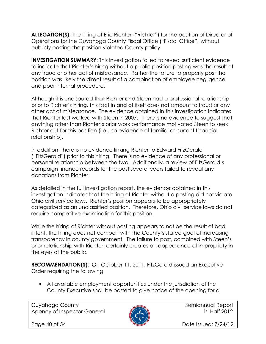ALLEGATION(S): The hiring of Eric Richter ("Richter") for the position of Director of Operations for the Cuyahoga County Fiscal Office ("Fiscal Office") without publicly posting the position violated County policy.

INVESTIGATION SUMMARY: This investigation failed to reveal sufficient evidence to indicate that Richter's hiring without a public position posting was the result of any fraud or other act of misfeasance. Rather the failure to properly post the position was likely the direct result of a combination of employee negligence and poor internal procedure.

Although it is undisputed that Richter and Steen had a professional relationship prior to Richter's hiring, this fact in and of itself does not amount to fraud or any other act of misfeasance. The evidence obtained in this investigation indicates that Richter last worked with Steen in 2007. There is no evidence to suggest that anything other than Richter's prior work performance motivated Steen to seek Richter out for this position (i.e., no evidence of familial or current financial relationship).

In addition, there is no evidence linking Richter to Edward FitzGerald ("FitzGerald") prior to this hiring. There is no evidence of any professional or personal relationship between the two. Additionally, a review of FitzGerald's campaign finance records for the past several years failed to reveal any donations from Richter.

As detailed in the full investigation report, the evidence obtained in this investigation indicates that the hiring of Richter without a posting did not violate Ohio civil service laws. Richter's position appears to be appropriately categorized as an unclassified position. Therefore, Ohio civil service laws do not require competitive examination for this position.

While the hiring of Richter without posting appears to not be the result of bad intent, the hiring does not comport with the County's stated goal of increasing transparency in county government. The failure to post, combined with Steen's prior relationship with Richter, certainly creates an appearance of impropriety in the eyes of the public.

RECOMMENDATION(S): On October 11, 2011, FitzGerald issued an Executive Order requiring the following:

• All available employment opportunities under the jurisdiction of the County Executive shall be posted to give notice of the opening for a

Cuyahoga County **Semiannual Report** Semiannual Report Agency of Inspector General **1st Half 2012** 



Page 40 of 54 **Date Issued: 7/24/12**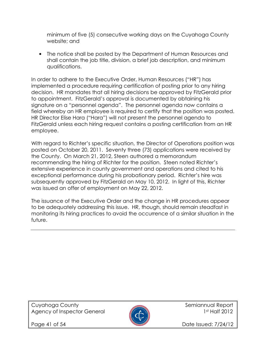minimum of five (5) consecutive working days on the Cuyahoga County website; and

• The notice shall be posted by the Department of Human Resources and shall contain the job title, division, a brief job description, and minimum qualifications.

In order to adhere to the Executive Order, Human Resources ("HR") has implemented a procedure requiring certification of posting prior to any hiring decision. HR mandates that all hiring decisions be approved by FitzGerald prior to appointment. FitzGerald's approval is documented by obtaining his signature on a "personnel agenda". The personnel agenda now contains a field whereby an HR employee is required to certify that the position was posted. HR Director Elise Hara ("Hara") will not present the personnel agenda to FitzGerald unless each hiring request contains a posting certification from an HR employee.

With regard to Richter's specific situation, the Director of Operations position was posted on October 20, 2011. Seventy three (73) applications were received by the County. On March 21, 2012, Steen authored a memorandum recommending the hiring of Richter for the position. Steen noted Richter's extensive experience in county government and operations and cited to his exceptional performance during his probationary period. Richter's hire was subsequently approved by FitzGerald on May 10, 2012. In light of this, Richter was issued an offer of employment on May 22, 2012.

The issuance of the Executive Order and the change in HR procedures appear to be adequately addressing this issue. HR, though, should remain steadfast in monitoring its hiring practices to avoid the occurrence of a similar situation in the future.

Cuyahoga County **Semiannual Report** Semiannual Report Agency of Inspector General 2012



Page 41 of 54 **Date Issued: 7/24/12**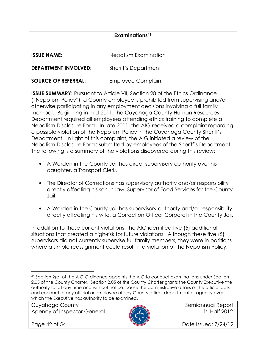#### Examinations<sup>45</sup>

| <b>ISSUE NAME:</b>          | Nepotism Examination        |
|-----------------------------|-----------------------------|
| <b>DEPARTMENT INVOLVED:</b> | <b>Sheriff's Department</b> |
| <b>SOURCE OF REFERRAL:</b>  | <b>Employee Complaint</b>   |

**ISSUE SUMMARY:** Pursuant to Article VII, Section 28 of the Ethics Ordinance ("Nepotism Policy"), a County employee is prohibited from supervising and/or otherwise participating in any employment decisions involving a full family member. Beginning in mid-2011, the Cuyahoga County Human Resources Department required all employees attending ethics training to complete a Nepotism Disclosure Form. In late 2011, the AIG received a complaint regarding a possible violation of the Nepotism Policy in the Cuyahoga County Sheriff's Department. In light of this complaint, the AIG initiated a review of the Nepotism Disclosure Forms submitted by employees of the Sheriff's Department. The following is a summary of the violations discovered during this review:

- A Warden in the County Jail has direct supervisory authority over his daughter, a Transport Clerk.
- The Director of Corrections has supervisory authority and/or responsibility directly affecting his son-in-law, Supervisor of Food Services for the County Jail.
- A Warden in the County Jail has supervisory authority and/or responsibility directly affecting his wife, a Correction Officer Corporal in the County Jail.

In addition to these current violations, the AIG identified five (5) additional situations that created a high-risk for future violations Although these five (5) supervisors did not currently supervise full family members, they were in positions where a simple reassignment could result in a violation of the Nepotism Policy.

Cuyahoga County **Semiannual Report** of the semiannual Report Agency of Inspector General **1st Half 2012** 



 $\overline{a}$ 

Page 42 of 54 **Date Issued: 7/24/12** 

<sup>45</sup> Section 2(c) of the AIG Ordinance appoints the AIG to conduct examinations under Section 2.05 of the County Charter. Section 2.05 of the County Charter grants the County Executive the authority to, at any time and without notice, cause the administrative affairs or the official acts and conduct of any official or employee of any County office, department or agency over which the Executive has authority to be examined.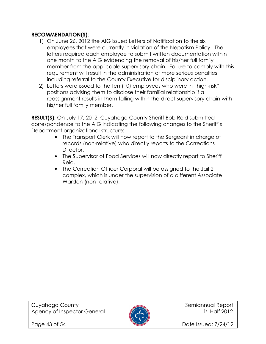#### RECOMMENDATION(S):

- 1) On June 26, 2012 the AIG issued Letters of Notification to the six employees that were currently in violation of the Nepotism Policy. The letters required each employee to submit written documentation within one month to the AIG evidencing the removal of his/her full family member from the applicable supervisory chain. Failure to comply with this requirement will result in the administration of more serious penalties, including referral to the County Executive for disciplinary action.
- 2) Letters were issued to the ten (10) employees who were in "high-risk" positions advising them to disclose their familial relationship if a reassignment results in them falling within the direct supervisory chain with his/her full family member.

RESULT(S): On July 17, 2012, Cuyahoga County Sheriff Bob Reid submitted correspondence to the AIG indicating the following changes to the Sheriff's Department organizational structure:

- The Transport Clerk will now report to the Sergeant in charge of records (non-relative) who directly reports to the Corrections Director.
- The Supervisor of Food Services will now directly report to Sheriff Reid.
- The Correction Officer Corporal will be assigned to the Jail 2 complex, which is under the supervision of a different Associate Warden (non-relative).



Page 43 of 54 **Date Issued: 7/24/12**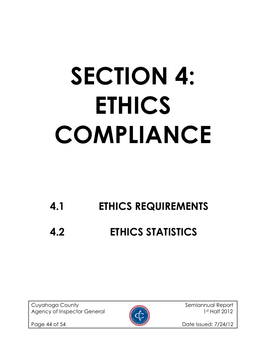## SECTION 4: ETHICS COMPLIANCE

## 4.1 ETHICS REQUIREMENTS

## 4.2 ETHICS STATISTICS

Cuyahoga County **Semiannual Report** Semiannual Report Agency of Inspector General 1st Half 2012



Page 44 of 54 Date Issued: 7/24/12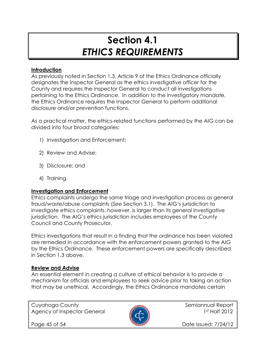## Section 4.1 ETHICS REQUIREMENTS

#### **Introduction**

As previously noted in Section 1.3, Article 9 of the Ethics Ordinance officially designates the Inspector General as the ethics investigative officer for the County and requires the Inspector General to conduct all investigations pertaining to the Ethics Ordinance. In addition to the investigatory mandate, the Ethics Ordinance requires the Inspector General to perform additional disclosure and/or prevention functions.

As a practical matter, the ethics-related functions performed by the AIG can be divided into four broad categories:

- 1) Investigation and Enforcement;
- 2) Review and Advise;
- 3) Disclosure; and
- 4) Training.

#### Investigation and Enforcement

Ethics complaints undergo the same triage and investigation process as general fraud/waste/abuse complaints (See Section 3.1). The AIG's jurisdiction to investigate ethics complaints, however, is larger than its general investigative jurisdiction. The AIG's ethics jurisdiction includes employees of the County Council and County Prosecutor.

Ethics investigations that result in a finding that the ordinance has been violated are remedied in accordance with the enforcement powers granted to the AIG by the Ethics Ordinance. These enforcement powers are specifically described in Section 1.3 above.

#### Review and Advise

An essential element in creating a culture of ethical behavior is to provide a mechanism for officials and employees to seek advice prior to taking an action that may be unethical. Accordingly, the Ethics Ordinance mandates certain

Cuyahoga County **Semiannual Report** Semiannual Report Agency of Inspector General 1st Half 2012



Page 45 of 54 **Date Issued: 7/24/12**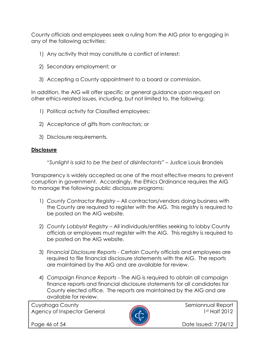County officials and employees seek a ruling from the AIG prior to engaging in any of the following activities:

- 1) Any activity that may constitute a conflict of interest;
- 2) Secondary employment; or
- 3) Accepting a County appointment to a board or commission.

In addition, the AIG will offer specific or general guidance upon request on other ethics-related issues, including, but not limited to, the following:

- 1) Political activity for Classified employees;
- 2) Acceptance of gifts from contractors; or
- 3) Disclosure requirements.

#### **Disclosure**

"Sunlight is said to be the best of disinfectants" – Justice Louis Brandeis

Transparency is widely accepted as one of the most effective means to prevent corruption in government. Accordingly, the Ethics Ordinance requires the AIG to manage the following public disclosure programs:

- 1) County Contractor Registry All contractors/vendors doing business with the County are required to register with the AIG. This registry is required to be posted on the AIG website.
- 2) County Lobbyist Registry All individuals/entities seeking to lobby County officials or employees must register with the AIG. This registry is required to be posted on the AIG website.
- 3) Financial Disclosure Reports Certain County officials and employees are required to file financial disclosure statements with the AIG. The reports are maintained by the AIG and are available for review.
- 4) Campaign Finance Reports The AIG is required to obtain all campaign finance reports and financial disclosure statements for all candidates for County elected office. The reports are maintained by the AIG and are available for review.

Cuyahoga County and Semiannual Report Agency of Inspector General **1st Half 2012** 



Page 46 of 54 Date Issued: 7/24/12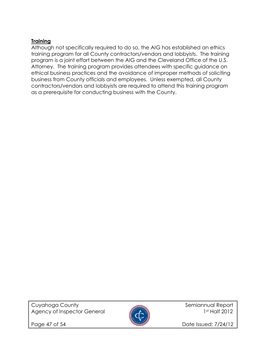#### Training

Although not specifically required to do so, the AIG has established an ethics training program for all County contractors/vendors and lobbyists. The training program is a joint effort between the AIG and the Cleveland Office of the U.S. Attorney. The training program provides attendees with specific guidance on ethical business practices and the avoidance of improper methods of soliciting business from County officials and employees. Unless exempted, all County contractors/vendors and lobbyists are required to attend this training program as a prerequisite for conducting business with the County.

Cuyahoga County **Semiannual Report** Semiannual Report Agency of Inspector General 1st Half 2012



Page 47 of 54 Date Issued: 7/24/12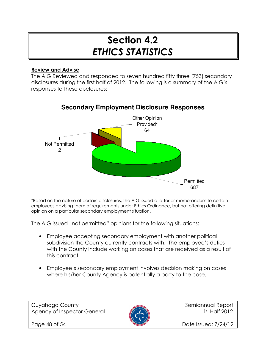## Section 4.2 ETHICS STATISTICS

#### Review and Advise

The AIG Reviewed and responded to seven hundred fifty three (753) secondary disclosures during the first half of 2012. The following is a summary of the AIG's responses to these disclosures:



#### **Secondary Employment Disclosure Responses**

\*Based on the nature of certain disclosures, the AIG issued a letter or memorandum to certain employees advising them of requirements under Ethics Ordinance, but not offering definitive opinion on a particular secondary employment situation.

The AIG issued "not permitted" opinions for the following situations:

- Employee accepting secondary employment with another political subdivision the County currently contracts with. The employee's duties with the County include working on cases that are received as a result of this contract.
- Employee's secondary employment involves decision making on cases where his/her County Agency is potentially a party to the case.



Page 48 of 54 **Date Issued: 7/24/12**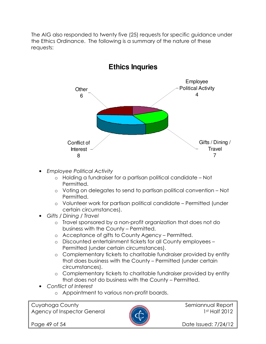The AIG also responded to twenty five (25) requests for specific guidance under the Ethics Ordinance. The following is a summary of the nature of these requests:



- Employee Political Activity
	- o Holding a fundraiser for a partisan political candidate Not Permitted.
	- o Voting on delegates to send to partisan political convention Not Permitted.
	- o Volunteer work for partisan political candidate Permitted (under certain circumstances).
- Gifts / Dining / Travel
	- o Travel sponsored by a non-profit organization that does not do business with the County – Permitted.
	- o Acceptance of gifts to County Agency Permitted.
	- o Discounted entertainment tickets for all County employees Permitted (under certain circumstances).
	- o Complementary tickets to charitable fundraiser provided by entity that does business with the County – Permitted (under certain circumstances).
	- o Complementary tickets to charitable fundraiser provided by entity that does not do business with the County – Permitted.
- Conflict of Interest
	- o Appointment to various non-profit boards.

Cuyahoga County **Semiannual Report** Semiannual Report Agency of Inspector General **1st Half 2012** 



Page 49 of 54 **Date Issued: 7/24/12**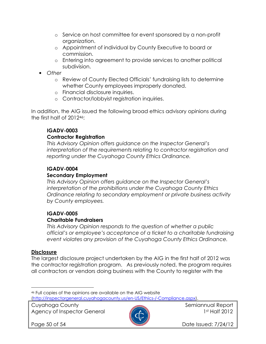- o Service on host committee for event sponsored by a non-profit organization.
- o Appointment of individual by County Executive to board or commission.
- o Entering into agreement to provide services to another political subdivision.
- Other
	- o Review of County Elected Officials' fundraising lists to determine whether County employees improperly donated.
	- o Financial disclosure inquiries.
	- o Contractor/lobbyist registration inquiries.

In addition, the AIG issued the following broad ethics advisory opinions during the first half of 201246:

#### IGADV-0003

#### Contractor Registration

This Advisory Opinion offers guidance on the Inspector General's interpretation of the requirements relating to contractor registration and reporting under the Cuyahoga County Ethics Ordinance.

#### IGADV-0004

#### Secondary Employment

This Advisory Opinion offers guidance on the Inspector General's interpretation of the prohibitions under the Cuyahoga County Ethics Ordinance relating to secondary employment or private business activity by County employees.

#### IGADV-0005

#### Charitable Fundraisers

This Advisory Opinion responds to the question of whether a public official's or employee's acceptance of a ticket to a charitable fundraising event violates any provision of the Cuyahoga County Ethics Ordinance.

#### **Disclosure**

l.

The largest disclosure project undertaken by the AIG in the first half of 2012 was the contractor registration program. As previously noted, the program requires all contractors or vendors doing business with the County to register with the

Cuyahoga County and Semiannual Report Agency of Inspector General **1st Half 2012** 



Page 50 of 54 **Date Issued: 7/24/12** 

<sup>46</sup> Full copies of the opinions are available on the AIG website (http://inspectorgeneral.cuyahogacounty.us/en-US/Ethics-/-Compliance.aspx).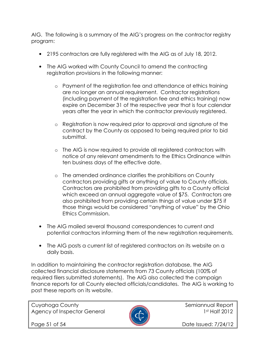AIG. The following is a summary of the AIG's progress on the contractor registry program:

- 2195 contractors are fully registered with the AIG as of July 18, 2012.
- The AIG worked with County Council to amend the contracting registration provisions in the following manner:
	- o Payment of the registration fee and attendance at ethics training are no longer an annual requirement. Contractor registrations (including payment of the registration fee and ethics training) now expire on December 31 of the respective year that is four calendar years after the year in which the contractor previously registered.
	- o Registration is now required prior to approval and signature of the contract by the County as opposed to being required prior to bid submittal.
	- o The AIG is now required to provide all registered contractors with notice of any relevant amendments to the Ethics Ordinance within ten business days of the effective date.
	- o The amended ordinance clarifies the prohibitions on County contractors providing gifts or anything of value to County officials. Contractors are prohibited from providing gifts to a County official which exceed an annual aggregate value of \$75. Contractors are also prohibited from providing certain things of value under \$75 if those things would be considered "anything of value" by the Ohio Ethics Commission.
- The AIG mailed several thousand correspondences to current and potential contractors informing them of the new registration requirements.
- The AIG posts a current list of registered contractors on its website on a daily basis.

In addition to maintaining the contractor registration database, the AIG collected financial disclosure statements from 73 County officials (100% of required filers submitted statements). The AIG also collected the campaign finance reports for all County elected officials/candidates. The AIG is working to post these reports on its website.

Cuyahoga County **Semiannual Report** Semiannual Report Agency of Inspector General 2012



Page 51 of 54 **Date Issued: 7/24/12**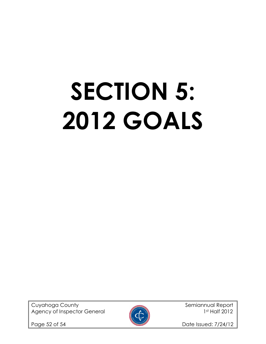# SECTION 5: 2012 GOALS

Cuyahoga County **Semiannual Report** Semiannual Report Agency of Inspector General 1st Half 2012



Page 52 of 54 Date Issued: 7/24/12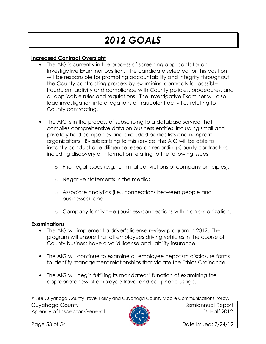## 2012 GOALS

#### Increased Contract Oversight

- The AIG is currently in the process of screening applicants for an Investigative Examiner position. The candidate selected for this position will be responsible for promoting accountability and integrity throughout the County contracting process by examining contracts for possible fraudulent activity and compliance with County policies, procedures, and all applicable rules and regulations. The Investigative Examiner will also lead investigation into allegations of fraudulent activities relating to County contracting.
- The AIG is in the process of subscribing to a database service that compiles comprehensive data on business entities, including small and privately held companies and excluded parties lists and nonprofit organizations. By subscribing to this service, the AIG will be able to instantly conduct due diligence research regarding County contractors, including discovery of information relating to the following issues
	- o Prior legal issues (e.g., criminal convictions of company principles);
	- o Negative statements in the media;
	- o Associate analytics (i.e., connections between people and businesses); and
	- o Company family tree (business connections within an organization.

#### Examinations

- The AIG will implement a driver's license review program in 2012. The program will ensure that all employees driving vehicles in the course of County business have a valid license and liability insurance.
- The AIG will continue to examine all employee nepotism disclosure forms to identify management relationships that violate the Ethics Ordinance.
- The AIG will begin fulfilling its mandated<sup>47</sup> function of examining the appropriateness of employee travel and cell phone usage.

Cuyahoga County **Semiannual Report** of the semiannual Report Agency of Inspector General **1st Half 2012** 



 $\overline{a}$ 

Page 53 of 54 **Date Issued: 7/24/12** 

<sup>47</sup> See Cuyahoga County Travel Policy and Cuyahoga County Mobile Communications Policy.